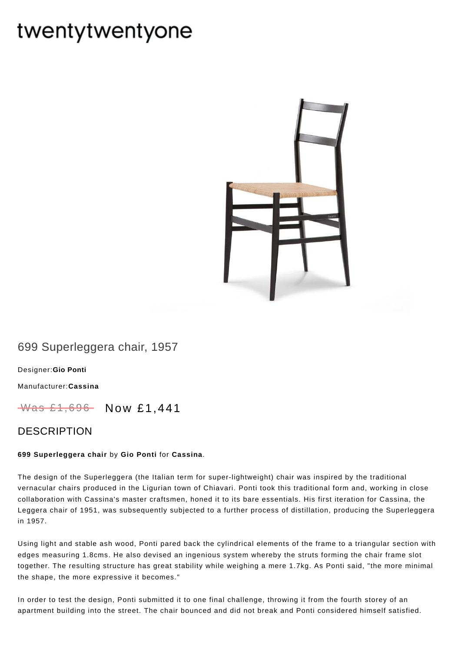# twentytwentyone



## 699 Superleggera chair, 1957

[Designer:](https://www.twentytwentyone.com/collections/designers-gio-ponti)**Gio Ponti**

[Manufacturer:](https://www.twentytwentyone.com/collections/manufacturers-cassina)**Cassina**

 $W$ as £1,696 Now £1,441

### DESCRIPTION

#### **699 Superleggera chair** by **Gio [Ponti](https://twenty-twenty-one.myshopify.com/collections/designers-gio-ponti)** for **[Cassina](https://twenty-twenty-one.myshopify.com/collections/manufacturers-cassina?view=all&sort_by=best-selling)**.

The design of the Superleggera (the Italian term for super-lightweight) chair was inspired by the traditional vernacular chairs produced in the Ligurian town of Chiavari. Ponti took this traditional form and, working in close collaboration with Cassina's master craftsmen, honed it to its bare essentials. His first iteration for Cassina, the Leggera chair of 1951, was subsequently subjected to a further process of distillation, producing the Superleggera in 1957.

Using light and stable ash wood, Ponti pared back the cylindrical elements of the frame to a triangular section with edges measuring 1.8cms. He also devised an ingenious system whereby the struts forming the chair frame slot together. The resulting structure has great stability while weighing a mere 1.7kg. As Ponti said, "the more minimal the shape, the more expressive it becomes."

In order to test the design, Ponti submitted it to one final challenge, throwing it from the fourth storey of an apartment building into the street. The chair bounced and did not break and Ponti considered himself satisfied.